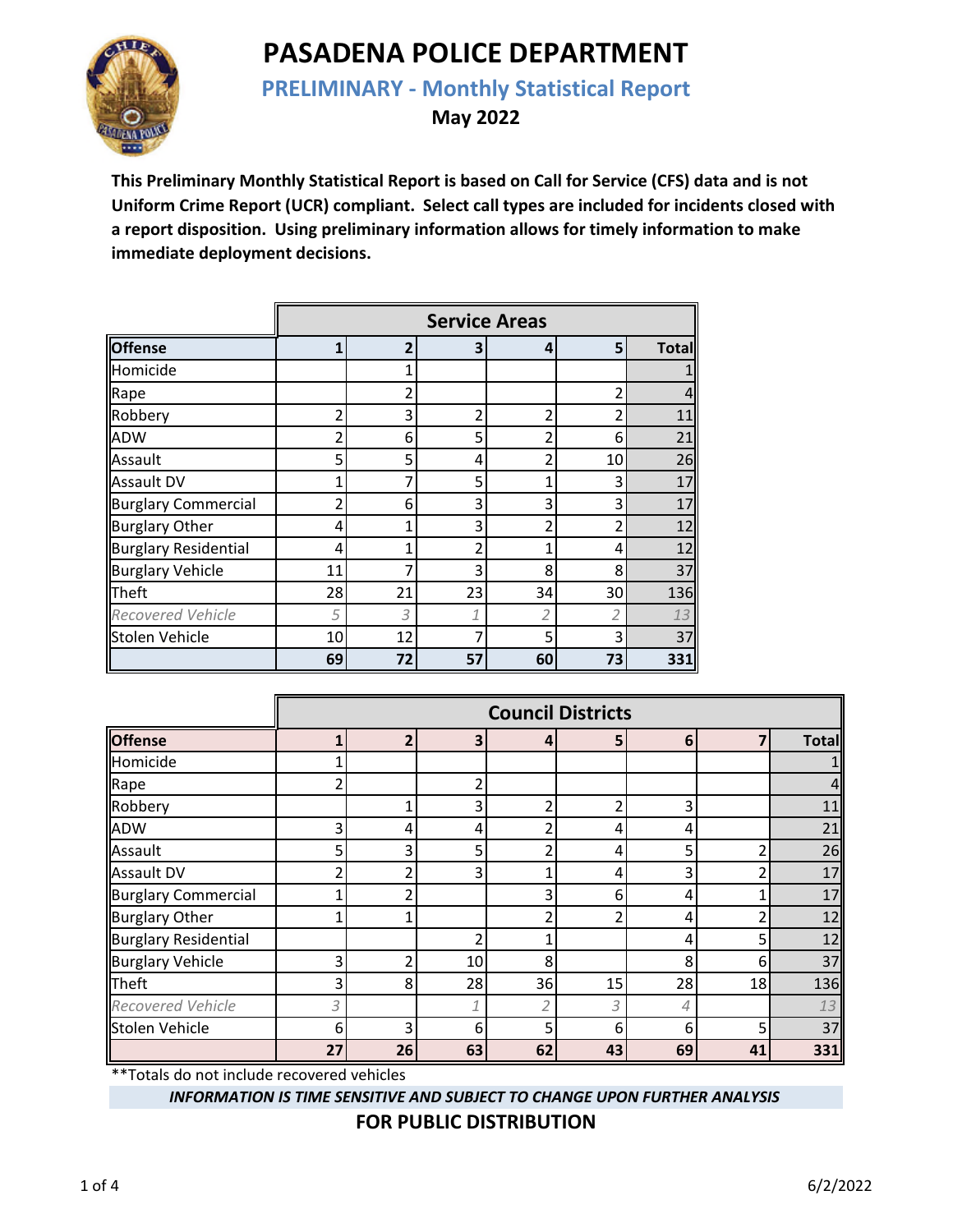

**PRELIMINARY - Monthly Statistical Report**

**May 2022**

**This Preliminary Monthly Statistical Report is based on Call for Service (CFS) data and is not Uniform Crime Report (UCR) compliant. Select call types are included for incidents closed with a report disposition. Using preliminary information allows for timely information to make immediate deployment decisions.**

|                             | <b>Service Areas</b>     |                |    |                |                |                |  |  |  |  |  |  |  |
|-----------------------------|--------------------------|----------------|----|----------------|----------------|----------------|--|--|--|--|--|--|--|
| <b>Offense</b>              |                          | 2              | 3  | 4              | 5              | <b>Total</b>   |  |  |  |  |  |  |  |
| Homicide                    |                          |                |    |                |                |                |  |  |  |  |  |  |  |
| Rape                        |                          | $\overline{2}$ |    |                |                | $\overline{4}$ |  |  |  |  |  |  |  |
| Robbery                     | $\overline{\mathcal{C}}$ | 3              | 2  | 2              |                | 11             |  |  |  |  |  |  |  |
| <b>ADW</b>                  | 2                        | 6              | 5  | 2              | 6              | 21             |  |  |  |  |  |  |  |
| Assault                     | 5                        | 5              | 4  | 2              | 10             | 26             |  |  |  |  |  |  |  |
| <b>Assault DV</b>           |                          | 7              | 5  |                | 3              | 17             |  |  |  |  |  |  |  |
| <b>Burglary Commercial</b>  | 2                        | 6              | 3  | 3              | 3              | 17             |  |  |  |  |  |  |  |
| <b>Burglary Other</b>       | 4                        | 1              | 3  | $\overline{2}$ | 2              | 12             |  |  |  |  |  |  |  |
| <b>Burglary Residential</b> | 4                        | 1              | 2  | 1              | Δ              | 12             |  |  |  |  |  |  |  |
| <b>Burglary Vehicle</b>     | 11                       | 7              | 3  | 8              | 8              | 37             |  |  |  |  |  |  |  |
| Theft                       | 28                       | 21             | 23 | 34             | 30             | 136            |  |  |  |  |  |  |  |
| Recovered Vehicle           | 5                        | 3              | 1  | 2              | $\overline{2}$ | 13             |  |  |  |  |  |  |  |
| <b>Stolen Vehicle</b>       | 10                       | 12             |    | 5              | 3              | 37             |  |  |  |  |  |  |  |
|                             | 69                       | 72             | 57 | 60             | 73             | 331            |  |  |  |  |  |  |  |

|                             | <b>Council Districts</b> |                |              |                |    |    |                          |              |  |  |  |  |
|-----------------------------|--------------------------|----------------|--------------|----------------|----|----|--------------------------|--------------|--|--|--|--|
| <b>Offense</b>              |                          | 2              | $\mathbf{3}$ | 4              | 5  | 6  | 7                        | <b>Total</b> |  |  |  |  |
| Homicide                    |                          |                |              |                |    |    |                          |              |  |  |  |  |
| Rape                        |                          |                | h            |                |    |    |                          |              |  |  |  |  |
| Robbery                     |                          |                | 3            | $\mathcal{P}$  | ำ  | 3  |                          | 11           |  |  |  |  |
| <b>ADW</b>                  | 3                        | 4              | 4            | 2              | 4  | 4  |                          | 21           |  |  |  |  |
| Assault                     | 5                        | 3              | 5            | ำ              | 4  |    | $\overline{\phantom{a}}$ | 26           |  |  |  |  |
| <b>Assault DV</b>           |                          | $\overline{c}$ | 3            |                | 4  |    | 2                        | 17           |  |  |  |  |
| <b>Burglary Commercial</b>  |                          | $\overline{2}$ |              | 3              | 6  | 4  |                          | 17           |  |  |  |  |
| <b>Burglary Other</b>       |                          |                |              | ว              |    | 4  | 2                        | 12           |  |  |  |  |
| <b>Burglary Residential</b> |                          |                | h            | ٠              |    | 4  | 5                        | 12           |  |  |  |  |
| <b>Burglary Vehicle</b>     | 3                        | 2              | 10           | 8              |    | 8  | 6                        | 37           |  |  |  |  |
| Theft                       | 3                        | 8              | 28           | 36             | 15 | 28 | 18                       | 136          |  |  |  |  |
| Recovered Vehicle           | 3                        |                |              | $\overline{2}$ | 3  | 4  |                          | 13           |  |  |  |  |
| Stolen Vehicle              | 6                        | 3              | 6            | 5              | 6  | 6  | 5                        | 37           |  |  |  |  |
|                             | 27                       | 26             | 63           | 62             | 43 | 69 | 41                       | 331          |  |  |  |  |

\*\*Totals do not include recovered vehicles

*INFORMATION IS TIME SENSITIVE AND SUBJECT TO CHANGE UPON FURTHER ANALYSIS*

**FOR PUBLIC DISTRIBUTION**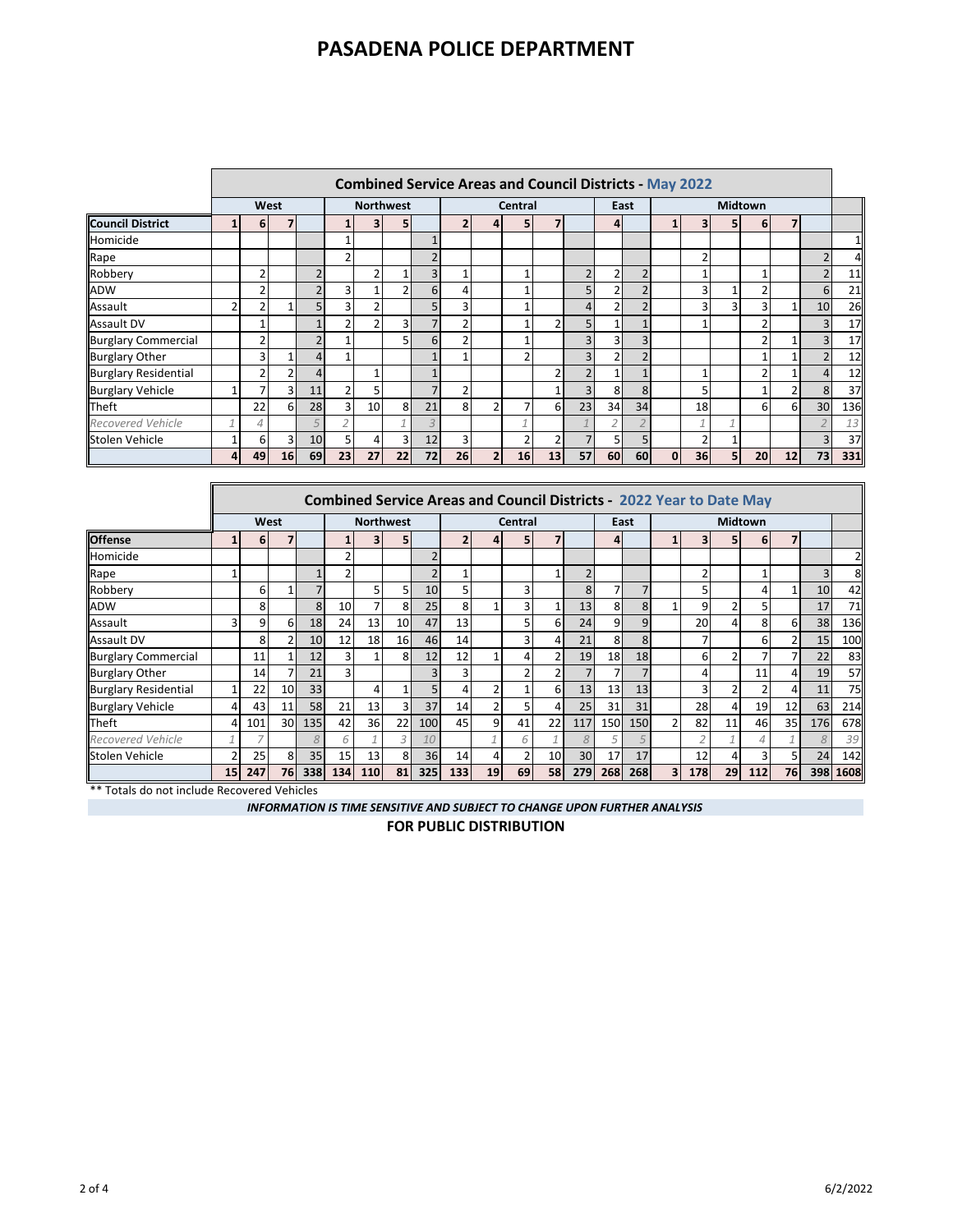|                             | <b>Combined Service Areas and Council Districts - May 2022</b> |      |    |    |    |                 |                             |                |                |   |    |                 |                |                |      |                |                |                |                |                         |                |     |
|-----------------------------|----------------------------------------------------------------|------|----|----|----|-----------------|-----------------------------|----------------|----------------|---|----|-----------------|----------------|----------------|------|----------------|----------------|----------------|----------------|-------------------------|----------------|-----|
|                             |                                                                | West |    |    |    |                 | <b>Northwest</b><br>Central |                |                |   |    |                 |                |                | East | <b>Midtown</b> |                |                |                |                         |                |     |
| <b>Council District</b>     |                                                                | 6    |    |    |    |                 | 5                           |                | 2 <sub>1</sub> |   | 5  |                 |                | 4              |      | $\mathbf{1}$   | 3 <sub>1</sub> | 51             | 6 <sup>1</sup> | $\overline{\mathbf{z}}$ |                |     |
| Homicide                    |                                                                |      |    |    |    |                 |                             | 1              |                |   |    |                 |                |                |      |                |                |                |                |                         |                |     |
| Rape                        |                                                                |      |    |    | 2  |                 |                             | $\overline{2}$ |                |   |    |                 |                |                |      |                | 2              |                |                |                         |                |     |
| Robbery                     |                                                                | 2    |    |    |    |                 |                             | 3              |                |   |    |                 | $\overline{2}$ | 2              |      |                |                |                |                |                         | $\overline{2}$ | 11  |
| <b>ADW</b>                  |                                                                | 2    |    |    | 3  |                 |                             | 6              | 4              |   |    |                 | 5              | 2              |      |                | 3              |                |                |                         | 6              | 21  |
| Assault                     |                                                                |      |    |    | 3  |                 |                             | 5              | 3              |   |    |                 | 4              | 2              |      |                | 3              |                |                |                         | 10             | 26  |
| <b>Assault DV</b>           |                                                                |      |    |    |    |                 | 3                           | $\overline{7}$ | $\overline{2}$ |   |    |                 | 5              |                |      |                |                |                |                |                         | 3              | 17  |
| <b>Burglary Commercial</b>  |                                                                |      |    |    |    |                 |                             | 6              | $\overline{2}$ |   |    |                 | 3              | $\overline{3}$ |      |                |                |                |                |                         | 3              | 17  |
| <b>Burglary Other</b>       |                                                                |      |    |    |    |                 |                             |                |                |   |    |                 |                |                |      |                |                |                |                |                         |                | 12  |
| <b>Burglary Residential</b> |                                                                |      |    |    |    |                 |                             |                |                |   |    |                 |                |                |      |                |                |                |                |                         | 4              | 12  |
| <b>Burglary Vehicle</b>     |                                                                |      | 3  | 11 |    |                 |                             |                | 2              |   |    |                 |                | 8              |      |                |                |                |                |                         | 8              | 37  |
| Theft                       |                                                                | 22   | 61 | 28 | 3  | 10 <sup>°</sup> | 8 <sup>1</sup>              | 21             | 8 <sup>1</sup> |   |    | 61              | 23             | 34             | 34   |                | 18             |                | 6              | 6                       | 30             | 136 |
| Recovered Vehicle           |                                                                | 4    |    |    |    |                 |                             | 3              |                |   |    |                 |                |                |      |                |                |                |                |                         |                | 13  |
| Stolen Vehicle              |                                                                | 6    | 3  | 10 | 5  | $\overline{4}$  | 3                           | 12             | $\overline{3}$ |   |    |                 | 7              | 5 <sub>l</sub> |      |                | $\overline{2}$ |                |                |                         | 3              | 37  |
|                             | 4                                                              | 49   | 16 | 69 | 23 | 27              | 22                          | 72             | 26             | 2 | 16 | 13 <sup>1</sup> | 57             | 60             | 60   | $\mathbf{0}$   | 36             | 5 <sub>1</sub> | 20             | 12                      | 73             | 331 |

|                             | <b>Combined Service Areas and Council Districts - 2022 Year to Date May</b> |      |                 |     |                  |     |    |         |                |    |    |                 |                             |                 |                |   |     |    |     |                 |     |                |
|-----------------------------|-----------------------------------------------------------------------------|------|-----------------|-----|------------------|-----|----|---------|----------------|----|----|-----------------|-----------------------------|-----------------|----------------|---|-----|----|-----|-----------------|-----|----------------|
|                             |                                                                             | West |                 |     | <b>Northwest</b> |     |    | Central |                |    |    |                 |                             | East            | <b>Midtown</b> |   |     |    |     |                 |     |                |
| <b>Offense</b>              |                                                                             | 6    |                 |     |                  | 3   | 5  |         | $\overline{2}$ |    | 5. |                 |                             | 4               |                |   |     |    | 6   |                 |     |                |
| Homicide                    |                                                                             |      |                 |     |                  |     |    |         |                |    |    |                 |                             |                 |                |   |     |    |     |                 |     | $2\vert$       |
| Rape                        |                                                                             |      |                 |     |                  |     |    |         |                |    |    |                 |                             |                 |                |   |     |    |     |                 | 3   | 8 <sub>1</sub> |
| Robbery                     |                                                                             | 6    |                 |     |                  |     | 5  | 10      | 5              |    |    |                 | 8                           |                 |                |   |     |    | 4   |                 | 10  | 42             |
| <b>ADW</b>                  |                                                                             | 8    |                 | 8   | 10               |     | 8  | 25      | 8              |    | 31 |                 | 13                          | 8               | 8              |   | 9   |    |     |                 | 17  | 71             |
| Assault                     |                                                                             | 9    | 6               | 18  | 24               | 13  | 10 | 47      | 13             |    |    | 6               | 24                          | 9               | q              |   | 20  |    | 8   | 61              | 38  | <b>136</b>     |
| <b>Assault DV</b>           |                                                                             | 8    |                 | 10  | 12               | 18  | 16 | 46      | 14             |    |    |                 | 21                          | 8               | 8              |   |     |    | 6   |                 | 15  | <b>100</b>     |
| Burglary Commercial         |                                                                             | 11   |                 | 12  |                  |     | 8  | 12      | 12             |    |    |                 | 19                          | 18 <sup>1</sup> | 18             |   | 6   |    |     |                 | 22  | 83             |
| <b>Burglary Other</b>       |                                                                             | 14   |                 | 21  |                  |     |    |         |                |    |    |                 |                             |                 |                |   |     |    | 11  | 4               | 19  | 57             |
| <b>Burglary Residential</b> |                                                                             | 22   | 10 <sup>1</sup> | 33  |                  |     |    |         |                |    |    | 61              | 13                          | 13              | 13             |   |     |    |     | 4               | 11  | 75             |
| <b>Burglary Vehicle</b>     |                                                                             | 43   | 11              | 58  | 21               | 13  | 3  | 37      | 14             |    |    | 4               | 25                          | 31              | 31             |   | 28  |    | 19  | 12              | 63  | 214            |
| Theft                       |                                                                             | 101  | 30 <sup>1</sup> | 135 | 42               | 36  | 22 | 100     | 45             | 9  | 41 | 22              | 117                         | 150             | 150            |   | 82  | 11 | 46  | 35 <sub>1</sub> | 176 | 678            |
| Recovered Vehicle           |                                                                             |      |                 | 8   | 6                |     | 3  | 10      |                |    | 6  |                 | $\mathcal{S}_{\mathcal{S}}$ |                 |                |   |     |    |     |                 | 8   | 39             |
| Stolen Vehicle              |                                                                             | 25   | 8               | 35  | 15               | 13  | 8  | 36      | 14             |    | 2  | 10 <sup>1</sup> | 30                          | 17              | 17             |   | 12  | 4  | 3   | 51              | 24  | 142I           |
|                             | 15 <sup>1</sup>                                                             | 247  | 76              | 338 | 134              | 110 | 81 | 325     | 133            | 19 | 69 | 58              | 279                         | 268             | 268            | 3 | 178 | 29 | 112 | <b>76</b>       | 398 | 1608           |

\*\* Totals do not include Recovered Vehicles

*INFORMATION IS TIME SENSITIVE AND SUBJECT TO CHANGE UPON FURTHER ANALYSIS*

**FOR PUBLIC DISTRIBUTION**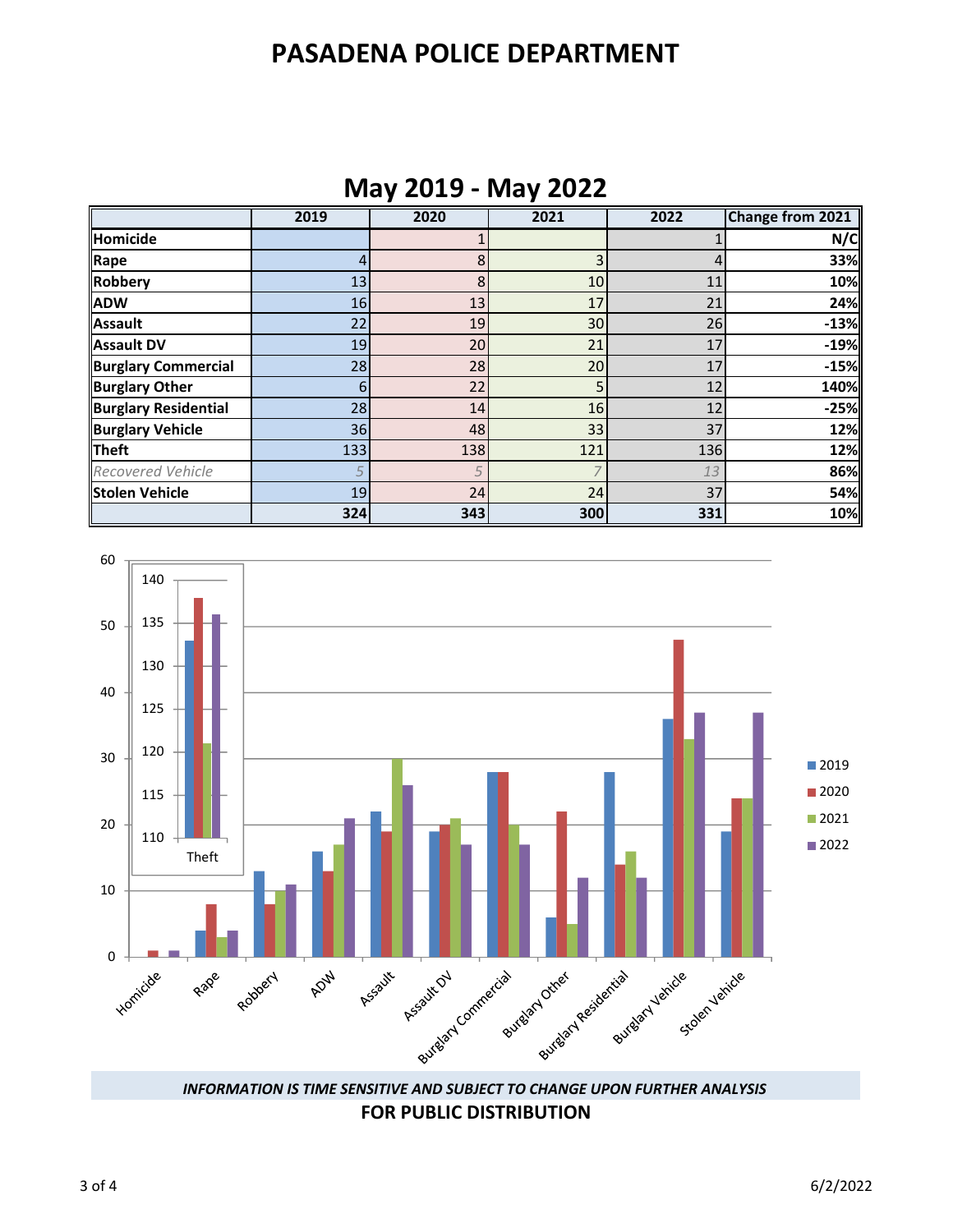|                             | 2019 | 2020 | 2021 | 2022 | Change from 2021 |
|-----------------------------|------|------|------|------|------------------|
| Homicide                    |      |      |      |      | N/C              |
| Rape                        | 4    | 8    |      |      | 33%              |
| <b>Robbery</b>              | 13   | 8    | 10   | 11   | 10%              |
| ADW                         | 16   | 13   | 17   | 21   | 24%              |
| Assault                     | 22   | 19   | 30   | 26   | $-13%$           |
| <b>Assault DV</b>           | 19   | 20   | 21   | 17   | $-19%$           |
| <b>Burglary Commercial</b>  | 28   | 28   | 20   | 17   | $-15%$           |
| <b>Burglary Other</b>       | 6    | 22   |      | 12   | 140%             |
| <b>Burglary Residential</b> | 28   | 14   | 16   | 12   | $-25%$           |
| <b>Burglary Vehicle</b>     | 36   | 48   | 33   | 37   | 12%              |
| Theft                       | 133  | 138  | 121  | 136  | 12%              |
| Recovered Vehicle           |      |      |      | 13   | 86%              |
| <b>Stolen Vehicle</b>       | 19   | 24   | 24   | 37   | 54%              |
|                             | 324  | 343  | 300  | 331  | 10%              |

### **May 2019 - May 2022**